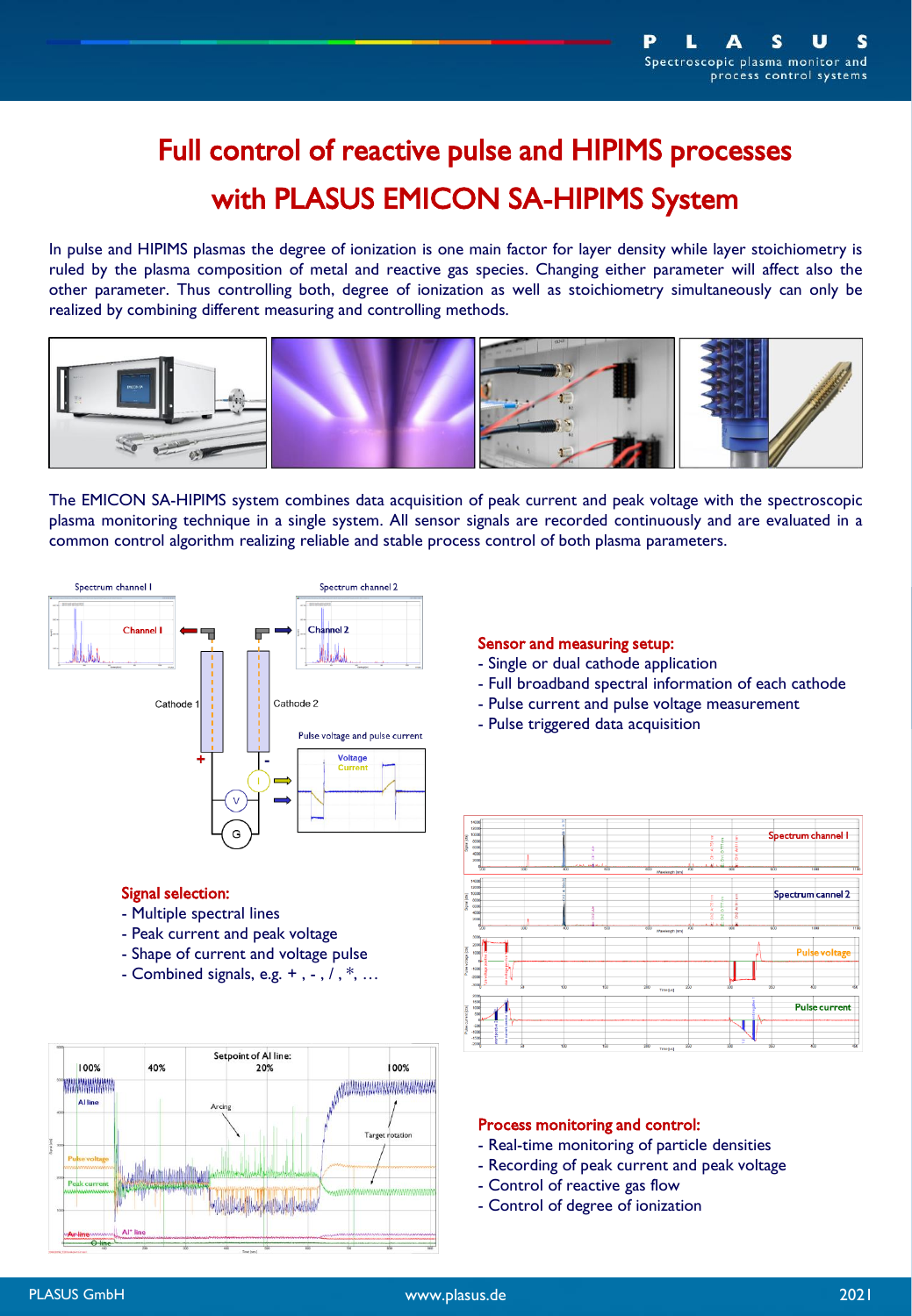# Full control of reactive pulse and HIPIMS processes with PLASUS EMICON SA-HIPIMS System

In pulse and HIPIMS plasmas the degree of ionization is one main factor for layer density while layer stoichiometry is ruled by the plasma composition of metal and reactive gas species. Changing either parameter will affect also the other parameter. Thus controlling both, degree of ionization as well as stoichiometry simultaneously can only be realized by combining different measuring and controlling methods.



The EMICON SA-HIPIMS system combines data acquisition of peak current and peak voltage with the spectroscopic plasma monitoring technique in a single system. All sensor signals are recorded continuously and are evaluated in a common control algorithm realizing reliable and stable process control of both plasma parameters.



## Signal selection:

- Multiple spectral lines
- Peak current and peak voltage
- Shape of current and voltage pulse
- Combined signals, e.g.  $+$ ,  $-$ ,  $/$ ,  $*$ ,  $\ldots$



## Sensor and measuring setup:

- Single or dual cathode application
- Full broadband spectral information of each cathode
- Pulse current and pulse voltage measurement
- Pulse triggered data acquisition



### Process monitoring and control:

- Real-time monitoring of particle densities
- Recording of peak current and peak voltage
- Control of reactive gas flow
- Control of degree of ionization